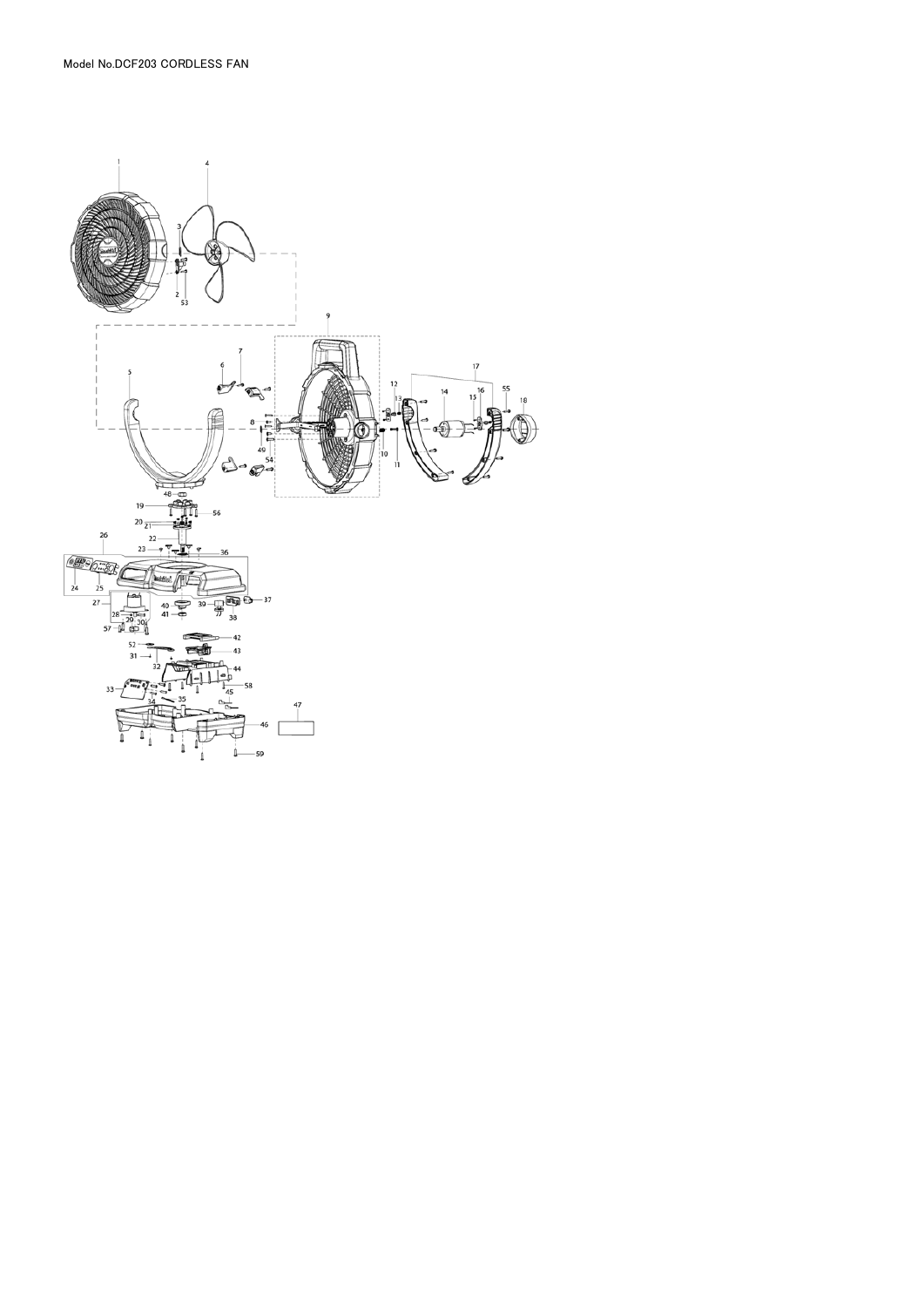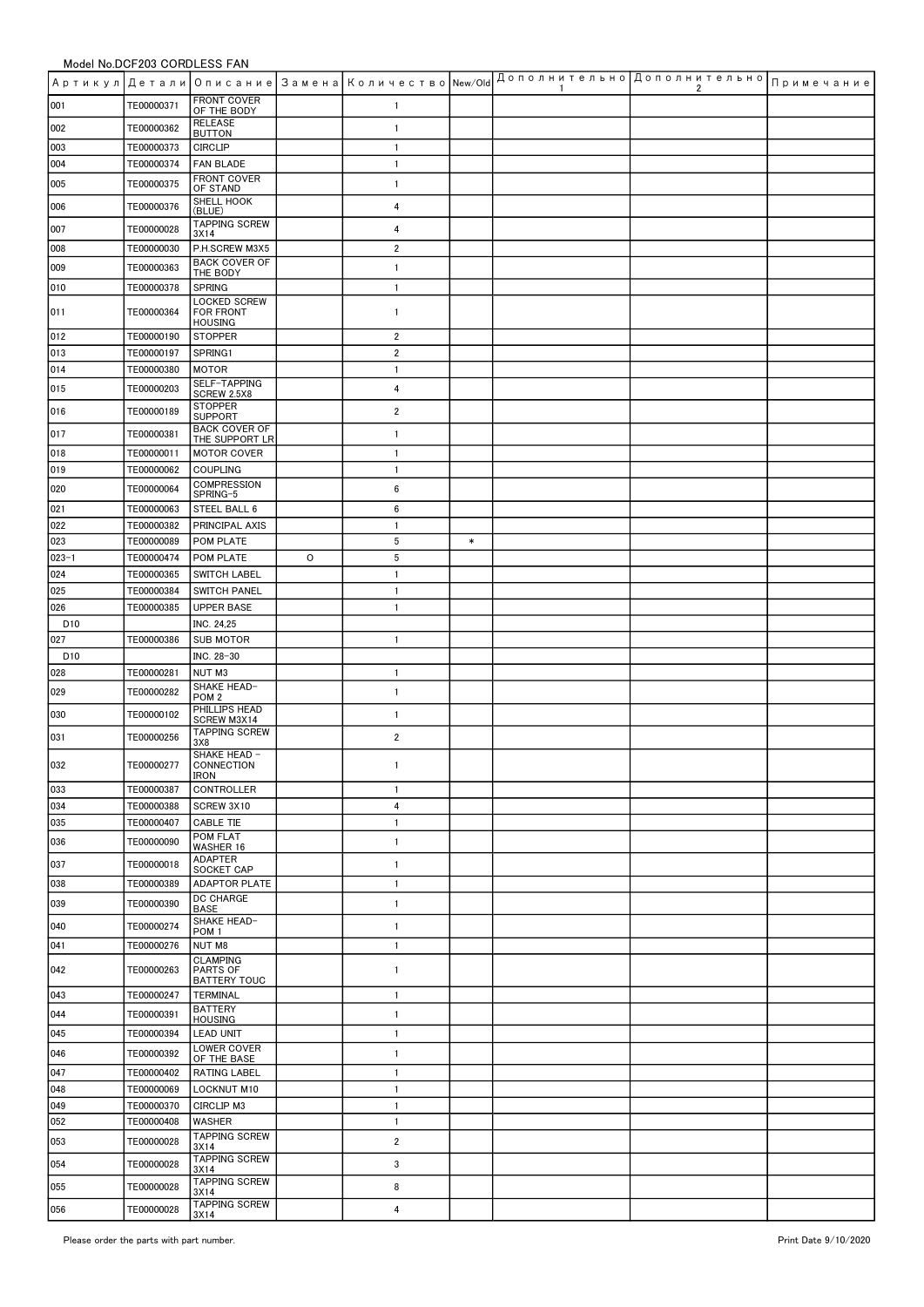## Model No.DCF203 CORDI FSS FAN

|                        |                          |                                                    |   | Артикул Детали Описание Замена Количество New/Old |        | -1 | Дополнительно   Дополнительно  <br>2 | Примечание |
|------------------------|--------------------------|----------------------------------------------------|---|---------------------------------------------------|--------|----|--------------------------------------|------------|
| 001                    | TE00000371               | <b>FRONT COVER</b><br>OF THE BODY                  |   | $\mathbf{1}$                                      |        |    |                                      |            |
| 002                    | TE00000362               | <b>RELEASE</b>                                     |   | $\mathbf{1}$                                      |        |    |                                      |            |
| 003                    | TE00000373               | <b>BUTTON</b><br><b>CIRCLIP</b>                    |   | $\mathbf{1}$                                      |        |    |                                      |            |
| 004                    | TE00000374               | <b>FAN BLADE</b>                                   |   | $\mathbf{1}$                                      |        |    |                                      |            |
| 005                    | TE00000375               | <b>FRONT COVER</b><br>OF STAND                     |   | $\mathbf{1}$                                      |        |    |                                      |            |
| 006                    | TE00000376               | SHELL HOOK<br>(BLUE)                               |   | 4                                                 |        |    |                                      |            |
| 007                    | TE00000028               | <b>TAPPING SCREW</b><br>3X14                       |   | 4                                                 |        |    |                                      |            |
| 008                    | TE00000030               | P.H.SCREW M3X5                                     |   | $\overline{2}$                                    |        |    |                                      |            |
| 009                    | TE00000363               | <b>BACK COVER OF</b><br>THE BODY                   |   | $\mathbf{1}$                                      |        |    |                                      |            |
| 010                    | TE00000378               | <b>SPRING</b>                                      |   | $\mathbf{1}$                                      |        |    |                                      |            |
| 011                    | TE00000364               | LOCKED SCREW<br><b>FOR FRONT</b><br><b>HOUSING</b> |   | $\mathbf{1}$                                      |        |    |                                      |            |
| 012                    | TE00000190               | <b>STOPPER</b>                                     |   | $\overline{2}$                                    |        |    |                                      |            |
| 013                    | TE00000197               | SPRING1                                            |   | $\overline{2}$                                    |        |    |                                      |            |
| 014                    | TE00000380               | <b>MOTOR</b><br>SELF-TAPPING                       |   | $\mathbf{1}$                                      |        |    |                                      |            |
| 015                    | TE00000203               | SCREW 2.5X8<br><b>STOPPER</b>                      |   | 4                                                 |        |    |                                      |            |
| 016                    | TE00000189               | <b>SUPPORT</b><br><b>BACK COVER OF</b>             |   | $\overline{2}$                                    |        |    |                                      |            |
| 017                    | TE00000381               | THE SUPPORT LR                                     |   | $\mathbf{1}$                                      |        |    |                                      |            |
| 018<br>019             | TE00000011<br>TE00000062 | <b>MOTOR COVER</b><br><b>COUPLING</b>              |   | $\mathbf{1}$<br>$\mathbf{1}$                      |        |    |                                      |            |
| 020                    | TE00000064               | COMPRESSION                                        |   | 6                                                 |        |    |                                      |            |
| 021                    | TE00000063               | SPRING-5<br>STEEL BALL 6                           |   | 6                                                 |        |    |                                      |            |
| 022                    | TE00000382               | PRINCIPAL AXIS                                     |   | $\mathbf{1}$                                      |        |    |                                      |            |
| 023                    | TE00000089               | POM PLATE                                          |   | $\,$ 5                                            | $\ast$ |    |                                      |            |
| $023 - 1$              | TE00000474               | POM PLATE                                          | 0 | $\,$ 5                                            |        |    |                                      |            |
| 024<br>025             | TE00000365<br>TE00000384 | SWITCH LABEL<br><b>SWITCH PANEL</b>                |   | $\mathbf{1}$<br>$\mathbf{1}$                      |        |    |                                      |            |
| 026                    | TE00000385               | <b>UPPER BASE</b>                                  |   | $\mathbf{1}$                                      |        |    |                                      |            |
| D <sub>10</sub>        |                          | INC. 24,25                                         |   |                                                   |        |    |                                      |            |
| 027                    | TE00000386               | <b>SUB MOTOR</b>                                   |   | $\mathbf{1}$                                      |        |    |                                      |            |
| D <sub>10</sub><br>028 | TE00000281               | INC. 28-30<br>NUT M3                               |   | $\mathbf{1}$                                      |        |    |                                      |            |
| 029                    | TE00000282               | SHAKE HEAD-                                        |   | $\mathbf{1}$                                      |        |    |                                      |            |
| 030                    | TE00000102               | POM <sub>2</sub><br>PHILLIPS HEAD                  |   | $\mathbf{1}$                                      |        |    |                                      |            |
| 031                    | TE00000256               | SCREW M3X14<br><b>TAPPING SCREW</b>                |   | $\overline{2}$                                    |        |    |                                      |            |
|                        |                          | 3X8<br>SHAKE HEAD -                                |   |                                                   |        |    |                                      |            |
| 032<br>033             | TE00000277<br>TE00000387 | CONNECTION<br>IRON<br><b>CONTROLLER</b>            |   | 1<br>$\mathbf{1}$                                 |        |    |                                      |            |
| 034                    | TE00000388               | SCREW 3X10                                         |   | 4                                                 |        |    |                                      |            |
| 035                    | TE00000407               | <b>CABLE TIE</b>                                   |   | $\mathbf{1}$                                      |        |    |                                      |            |
| 036                    | TE00000090               | POM FLAT<br>WASHER 16                              |   | $\mathbf{1}$                                      |        |    |                                      |            |
| 037                    | TE00000018               | <b>ADAPTER</b><br>SOCKET CAP                       |   | $\mathbf{1}$                                      |        |    |                                      |            |
| 038                    | TE00000389               | <b>ADAPTOR PLATE</b>                               |   | $\mathbf{1}$                                      |        |    |                                      |            |
| 039                    | TE00000390               | DC CHARGE<br><b>BASE</b>                           |   | $\mathbf{1}$                                      |        |    |                                      |            |
| 040                    | TE00000274               | SHAKE HEAD-<br>POM <sub>1</sub>                    |   | $\mathbf{1}$                                      |        |    |                                      |            |
| 041                    | TE00000276               | NUT M8                                             |   | $\mathbf{1}$                                      |        |    |                                      |            |
| 042                    | TE00000263               | <b>CLAMPING</b><br>PARTS OF<br><b>BATTERY TOUC</b> |   | $\mathbf{1}$                                      |        |    |                                      |            |
| 043                    | TE00000247               | <b>TERMINAL</b>                                    |   | $\mathbf{1}$                                      |        |    |                                      |            |
| 044                    | TE00000391               | <b>BATTERY</b><br><b>HOUSING</b>                   |   | $\mathbf{1}$                                      |        |    |                                      |            |
| 045                    | TE00000394               | <b>LEAD UNIT</b>                                   |   | $\mathbf{1}$                                      |        |    |                                      |            |
| 046                    | TE00000392               | LOWER COVER<br>OF THE BASE                         |   | $\mathbf{1}$                                      |        |    |                                      |            |
| 047                    | TE00000402               | RATING LABEL                                       |   | $\mathbf{1}$                                      |        |    |                                      |            |
| 048<br>049             | TE00000069<br>TE00000370 | <b>LOCKNUT M10</b><br>CIRCLIP M3                   |   | $\mathbf{1}$<br>$\mathbf{1}$                      |        |    |                                      |            |
| 052                    | TE00000408               | <b>WASHER</b>                                      |   | $\mathbf{1}$                                      |        |    |                                      |            |
| 053                    | TE00000028               | <b>TAPPING SCREW</b>                               |   | $\overline{2}$                                    |        |    |                                      |            |
| 054                    | TE00000028               | 3X14<br><b>TAPPING SCREW</b>                       |   | 3                                                 |        |    |                                      |            |
| 055                    | TE00000028               | 3X14<br><b>TAPPING SCREW</b>                       |   | 8                                                 |        |    |                                      |            |
| 056                    | TE00000028               | 3X14<br><b>TAPPING SCREW</b><br>3X14               |   | 4                                                 |        |    |                                      |            |